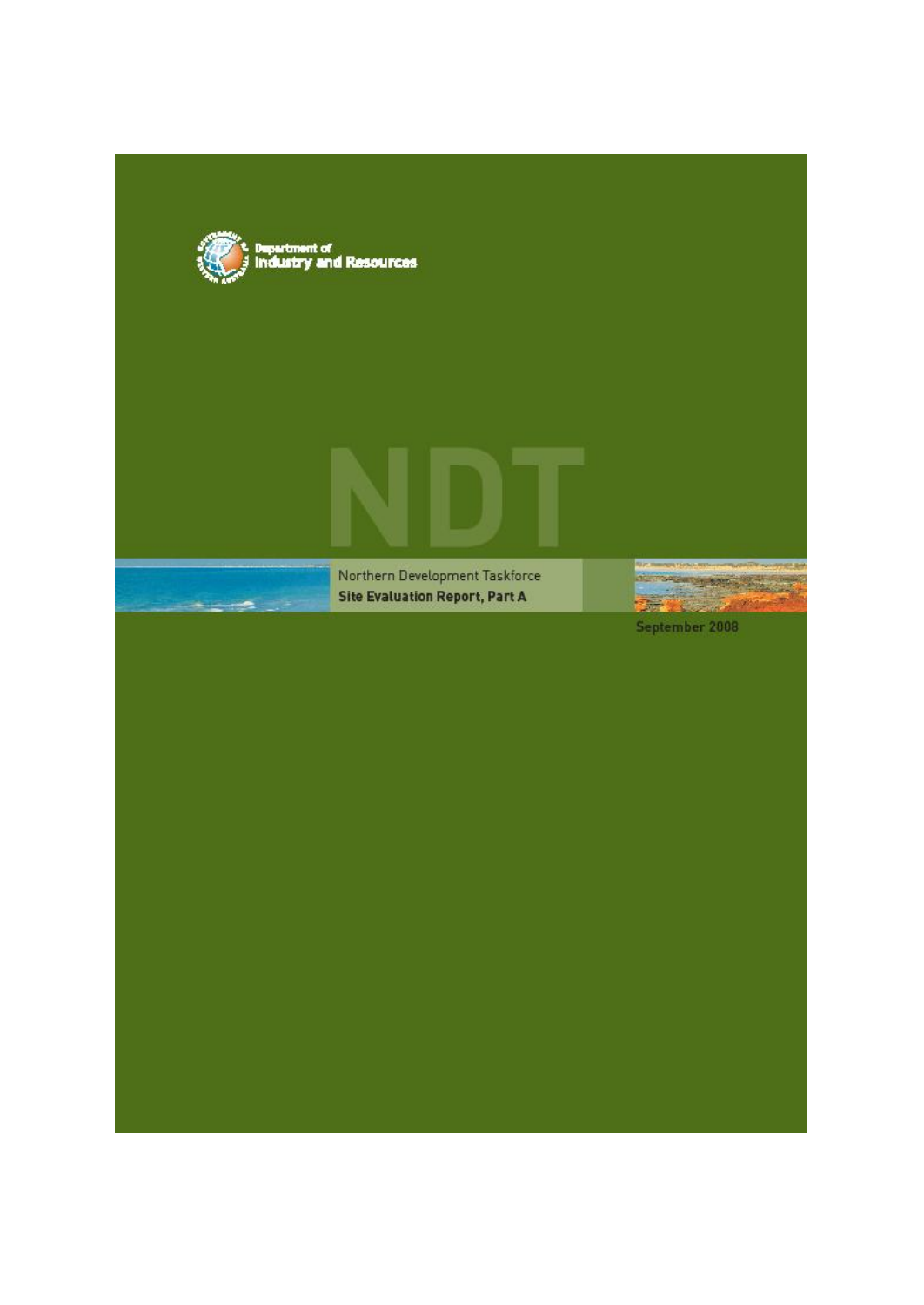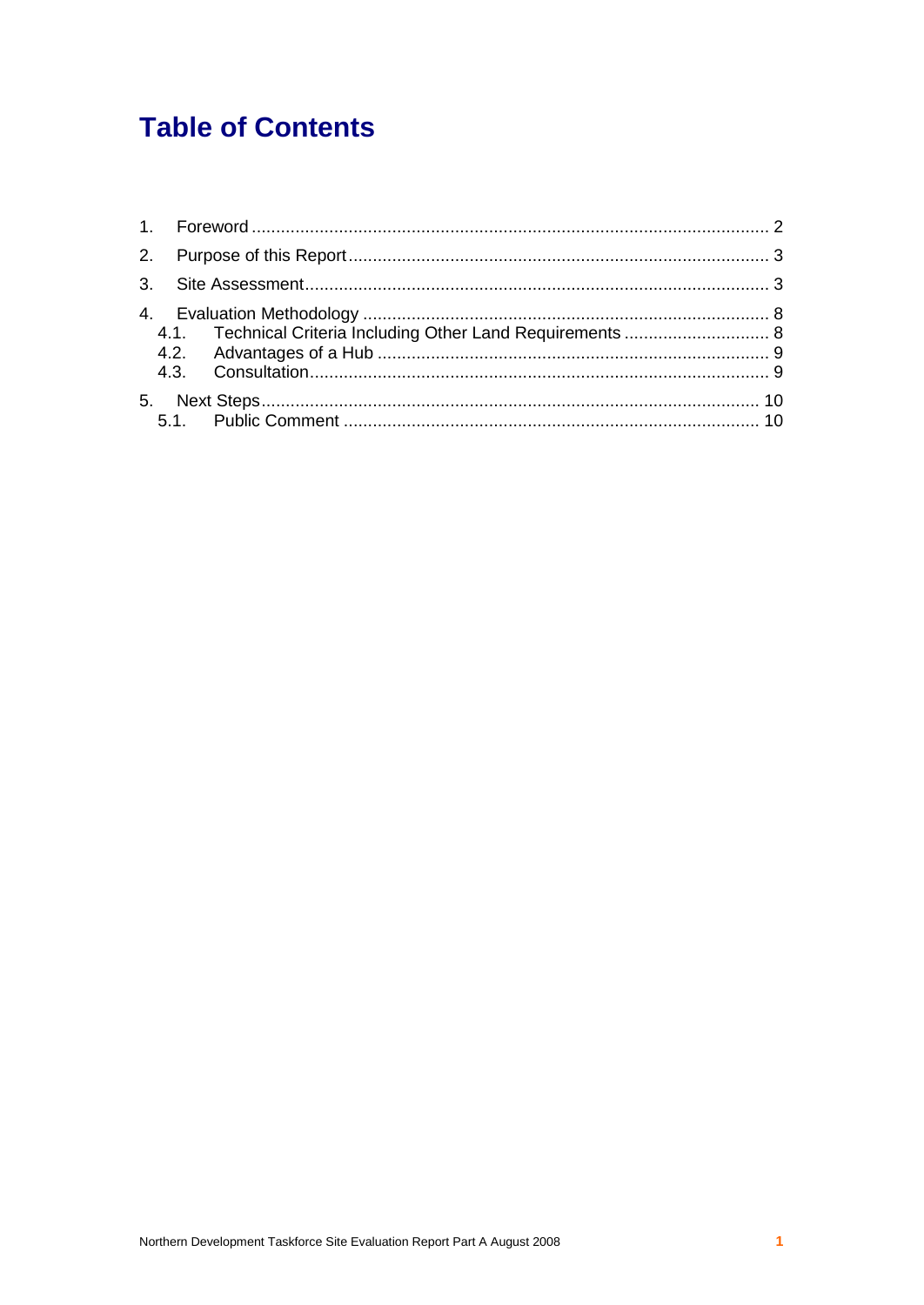# **Table of Contents**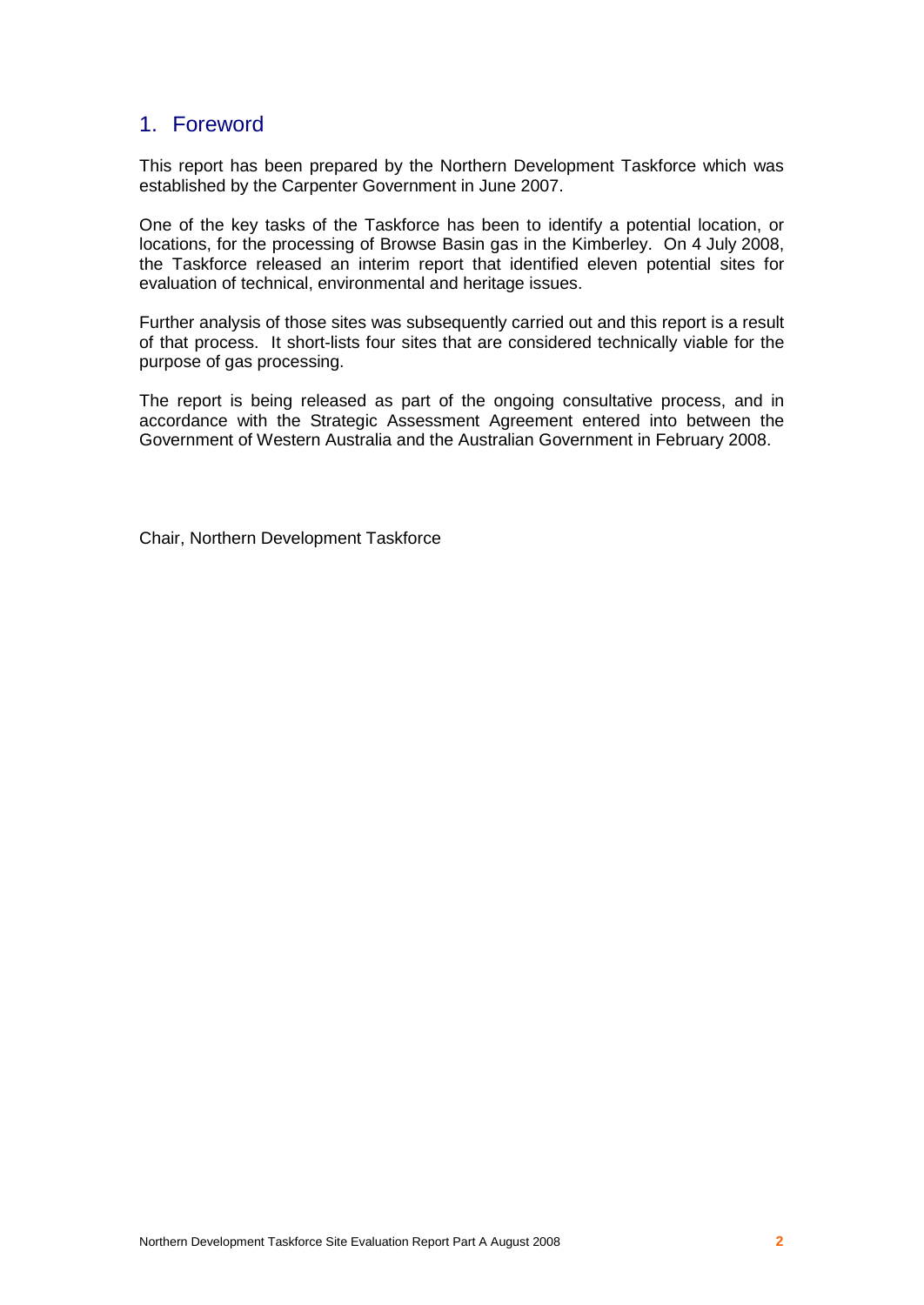# 1. Foreword

This report has been prepared by the Northern Development Taskforce which was established by the Carpenter Government in June 2007.

One of the key tasks of the Taskforce has been to identify a potential location, or locations, for the processing of Browse Basin gas in the Kimberley. On 4 July 2008, the Taskforce released an interim report that identified eleven potential sites for evaluation of technical, environmental and heritage issues.

Further analysis of those sites was subsequently carried out and this report is a result of that process. It short-lists four sites that are considered technically viable for the purpose of gas processing.

The report is being released as part of the ongoing consultative process, and in accordance with the Strategic Assessment Agreement entered into between the Government of Western Australia and the Australian Government in February 2008.

Chair, Northern Development Taskforce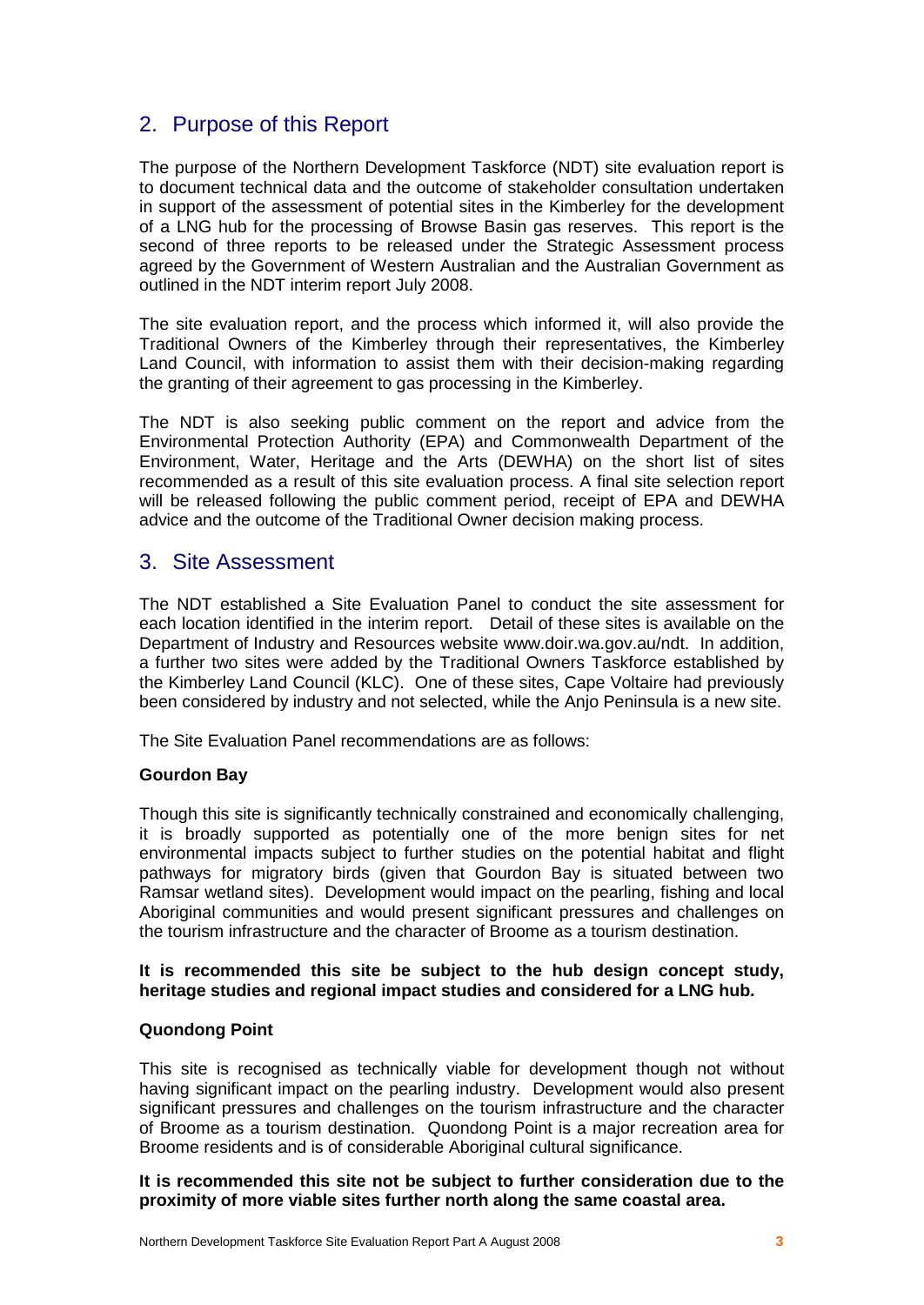# 2. Purpose of this Report

The purpose of the Northern Development Taskforce (NDT) site evaluation report is to document technical data and the outcome of stakeholder consultation undertaken in support of the assessment of potential sites in the Kimberley for the development of a LNG hub for the processing of Browse Basin gas reserves. This report is the second of three reports to be released under the Strategic Assessment process agreed by the Government of Western Australian and the Australian Government as outlined in the NDT interim report July 2008.

The site evaluation report, and the process which informed it, will also provide the Traditional Owners of the Kimberley through their representatives, the Kimberley Land Council, with information to assist them with their decision-making regarding the granting of their agreement to gas processing in the Kimberley.

The NDT is also seeking public comment on the report and advice from the Environmental Protection Authority (EPA) and Commonwealth Department of the Environment, Water, Heritage and the Arts (DEWHA) on the short list of sites recommended as a result of this site evaluation process. A final site selection report will be released following the public comment period, receipt of EPA and DEWHA advice and the outcome of the Traditional Owner decision making process.

# 3. Site Assessment

The NDT established a Site Evaluation Panel to conduct the site assessment for each location identified in the interim report. Detail of these sites is available on the Department of Industry and Resources website [www.doir.wa.gov.au/ndt.](http://www.doir.wa.gov.au/ndt.) In addition, a further two sites were added by the Traditional Owners Taskforce established by the Kimberley Land Council (KLC). One of these sites, Cape Voltaire had previously been considered by industry and not selected, while the Anjo Peninsula is a new site.

The Site Evaluation Panel recommendations are as follows:

# **Gourdon Bay**

Though this site is significantly technically constrained and economically challenging, it is broadly supported as potentially one of the more benign sites for net environmental impacts subject to further studies on the potential habitat and flight pathways for migratory birds (given that Gourdon Bay is situated between two Ramsar wetland sites). Development would impact on the pearling, fishing and local Aboriginal communities and would present significant pressures and challenges on the tourism infrastructure and the character of Broome as a tourism destination.

# **It is recommended this site be subject to the hub design concept study, heritage studies and regional impact studies and considered for a LNG hub.**

# **Quondong Point**

This site is recognised as technically viable for development though not without having significant impact on the pearling industry. Development would also present significant pressures and challenges on the tourism infrastructure and the character of Broome as a tourism destination. Quondong Point is a major recreation area for Broome residents and is of considerable Aboriginal cultural significance.

#### **It is recommended this site not be subject to further consideration due to the proximity of more viable sites further north along the same coastal area.**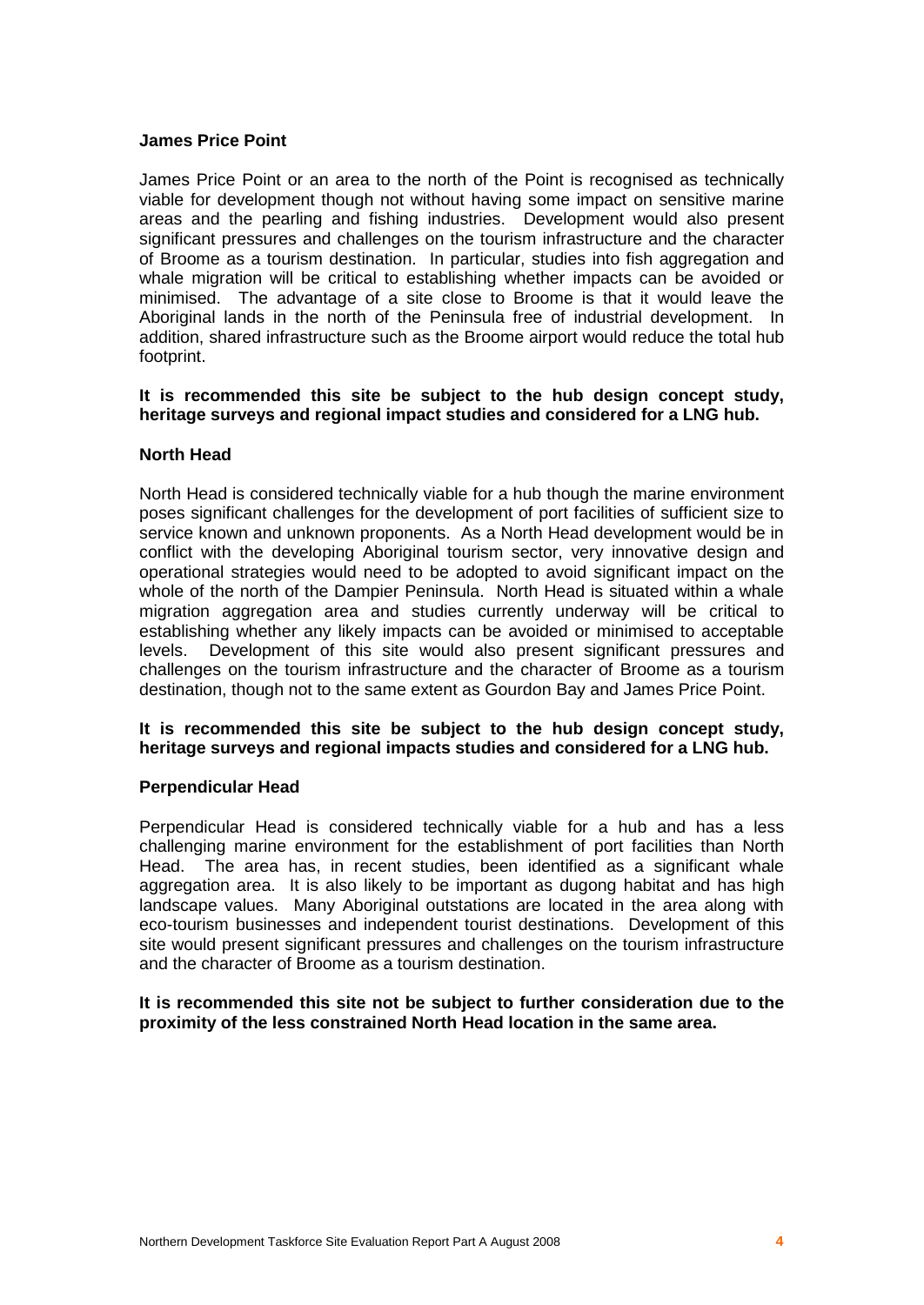#### **James Price Point**

James Price Point or an area to the north of the Point is recognised as technically viable for development though not without having some impact on sensitive marine areas and the pearling and fishing industries. Development would also present significant pressures and challenges on the tourism infrastructure and the character of Broome as a tourism destination. In particular, studies into fish aggregation and whale migration will be critical to establishing whether impacts can be avoided or minimised. The advantage of a site close to Broome is that it would leave the Aboriginal lands in the north of the Peninsula free of industrial development. In addition, shared infrastructure such as the Broome airport would reduce the total hub footprint.

#### **It is recommended this site be subject to the hub design concept study, heritage surveys and regional impact studies and considered for a LNG hub.**

#### **North Head**

North Head is considered technically viable for a hub though the marine environment poses significant challenges for the development of port facilities of sufficient size to service known and unknown proponents. As a North Head development would be in conflict with the developing Aboriginal tourism sector, very innovative design and operational strategies would need to be adopted to avoid significant impact on the whole of the north of the Dampier Peninsula. North Head is situated within a whale migration aggregation area and studies currently underway will be critical to establishing whether any likely impacts can be avoided or minimised to acceptable levels. Development of this site would also present significant pressures and challenges on the tourism infrastructure and the character of Broome as a tourism destination, though not to the same extent as Gourdon Bay and James Price Point.

#### **It is recommended this site be subject to the hub design concept study, heritage surveys and regional impacts studies and considered for a LNG hub.**

#### **Perpendicular Head**

Perpendicular Head is considered technically viable for a hub and has a less challenging marine environment for the establishment of port facilities than North Head. The area has, in recent studies, been identified as a significant whale aggregation area. It is also likely to be important as dugong habitat and has high landscape values. Many Aboriginal outstations are located in the area along with eco-tourism businesses and independent tourist destinations. Development of this site would present significant pressures and challenges on the tourism infrastructure and the character of Broome as a tourism destination.

#### **It is recommended this site not be subject to further consideration due to the proximity of the less constrained North Head location in the same area.**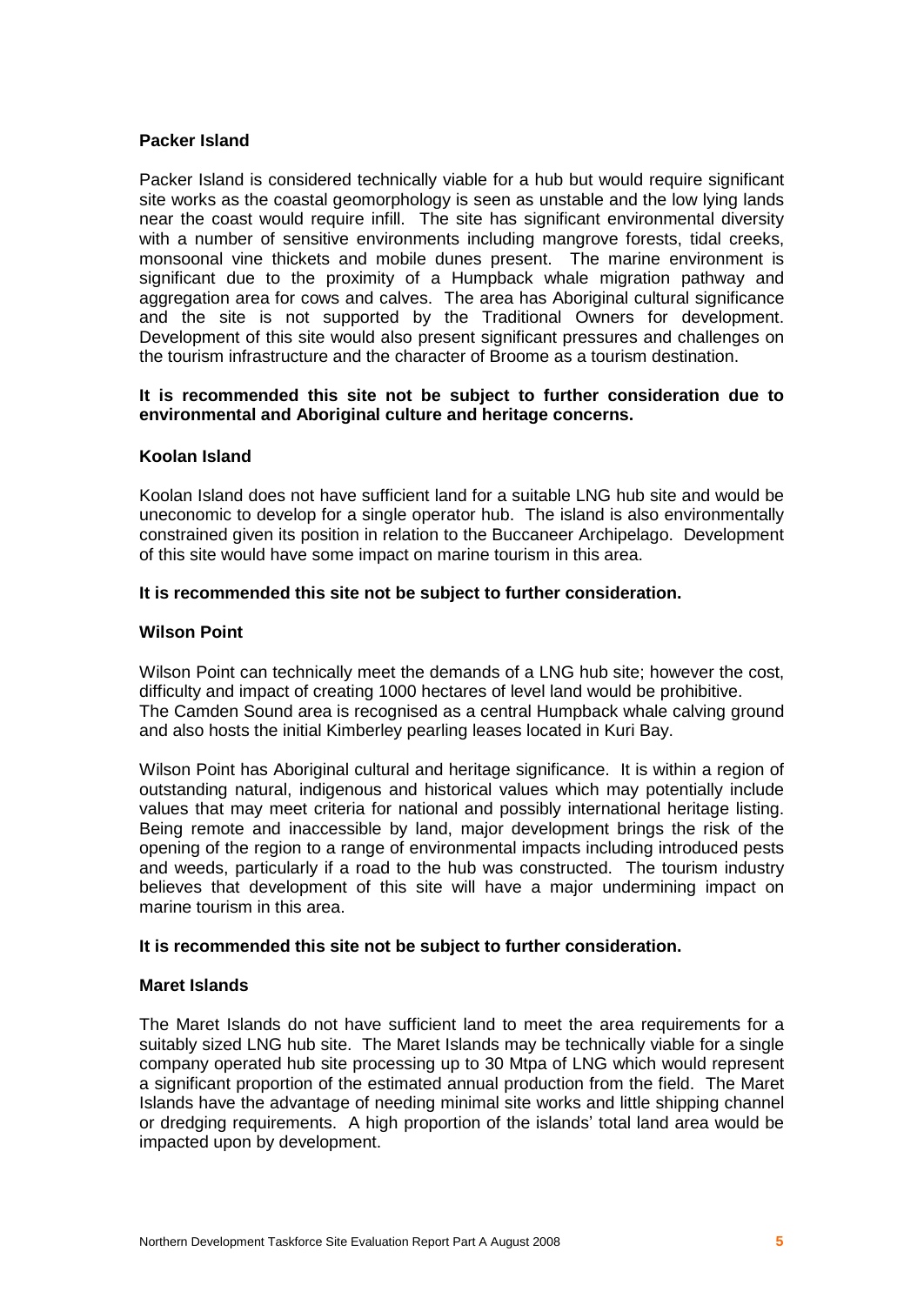# **Packer Island**

Packer Island is considered technically viable for a hub but would require significant site works as the coastal geomorphology is seen as unstable and the low lying lands near the coast would require infill. The site has significant environmental diversity with a number of sensitive environments including mangrove forests, tidal creeks, monsoonal vine thickets and mobile dunes present. The marine environment is significant due to the proximity of a Humpback whale migration pathway and aggregation area for cows and calves. The area has Aboriginal cultural significance and the site is not supported by the Traditional Owners for development. Development of this site would also present significant pressures and challenges on the tourism infrastructure and the character of Broome as a tourism destination.

#### **It is recommended this site not be subject to further consideration due to environmental and Aboriginal culture and heritage concerns.**

#### **Koolan Island**

Koolan Island does not have sufficient land for a suitable LNG hub site and would be uneconomic to develop for a single operator hub. The island is also environmentally constrained given its position in relation to the Buccaneer Archipelago. Development of this site would have some impact on marine tourism in this area.

#### **It is recommended this site not be subject to further consideration.**

#### **Wilson Point**

Wilson Point can technically meet the demands of a LNG hub site; however the cost, difficulty and impact of creating 1000 hectares of level land would be prohibitive. The Camden Sound area is recognised as a central Humpback whale calving ground and also hosts the initial Kimberley pearling leases located in Kuri Bay.

Wilson Point has Aboriginal cultural and heritage significance. It is within a region of outstanding natural, indigenous and historical values which may potentially include values that may meet criteria for national and possibly international heritage listing. Being remote and inaccessible by land, major development brings the risk of the opening of the region to a range of environmental impacts including introduced pests and weeds, particularly if a road to the hub was constructed. The tourism industry believes that development of this site will have a major undermining impact on marine tourism in this area.

#### **It is recommended this site not be subject to further consideration.**

# **Maret Islands**

The Maret Islands do not have sufficient land to meet the area requirements for a suitably sized LNG hub site. The Maret Islands may be technically viable for a single company operated hub site processing up to 30 Mtpa of LNG which would represent a significant proportion of the estimated annual production from the field. The Maret Islands have the advantage of needing minimal site works and little shipping channel or dredging requirements. A high proportion of the islandsí total land area would be impacted upon by development.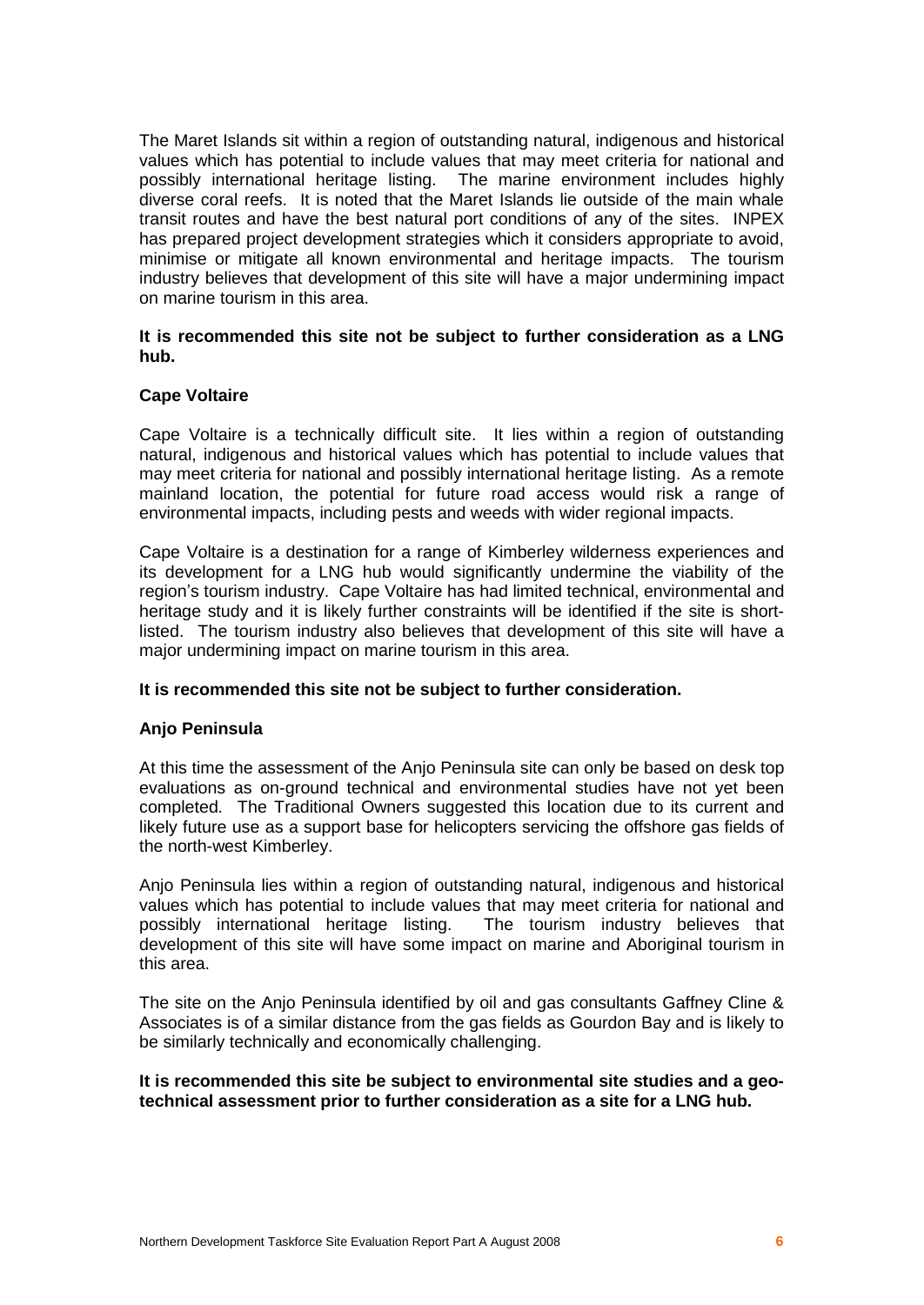The Maret Islands sit within a region of outstanding natural, indigenous and historical values which has potential to include values that may meet criteria for national and possibly international heritage listing. The marine environment includes highly diverse coral reefs. It is noted that the Maret Islands lie outside of the main whale transit routes and have the best natural port conditions of any of the sites. INPEX has prepared project development strategies which it considers appropriate to avoid, minimise or mitigate all known environmental and heritage impacts. The tourism industry believes that development of this site will have a major undermining impact on marine tourism in this area.

#### **It is recommended this site not be subject to further consideration as a LNG hub.**

#### **Cape Voltaire**

Cape Voltaire is a technically difficult site. It lies within a region of outstanding natural, indigenous and historical values which has potential to include values that may meet criteria for national and possibly international heritage listing. As a remote mainland location, the potential for future road access would risk a range of environmental impacts, including pests and weeds with wider regional impacts.

Cape Voltaire is a destination for a range of Kimberley wilderness experiences and its development for a LNG hub would significantly undermine the viability of the region's tourism industry. Cape Voltaire has had limited technical, environmental and heritage study and it is likely further constraints will be identified if the site is shortlisted. The tourism industry also believes that development of this site will have a major undermining impact on marine tourism in this area.

#### **It is recommended this site not be subject to further consideration.**

#### **Anjo Peninsula**

At this time the assessment of the Anjo Peninsula site can only be based on desk top evaluations as on-ground technical and environmental studies have not yet been completed. The Traditional Owners suggested this location due to its current and likely future use as a support base for helicopters servicing the offshore gas fields of the north-west Kimberley.

Anjo Peninsula lies within a region of outstanding natural, indigenous and historical values which has potential to include values that may meet criteria for national and possibly international heritage listing. The tourism industry believes that development of this site will have some impact on marine and Aboriginal tourism in this area.

The site on the Anjo Peninsula identified by oil and gas consultants Gaffney Cline & Associates is of a similar distance from the gas fields as Gourdon Bay and is likely to be similarly technically and economically challenging.

#### **It is recommended this site be subject to environmental site studies and a geotechnical assessment prior to further consideration as a site for a LNG hub.**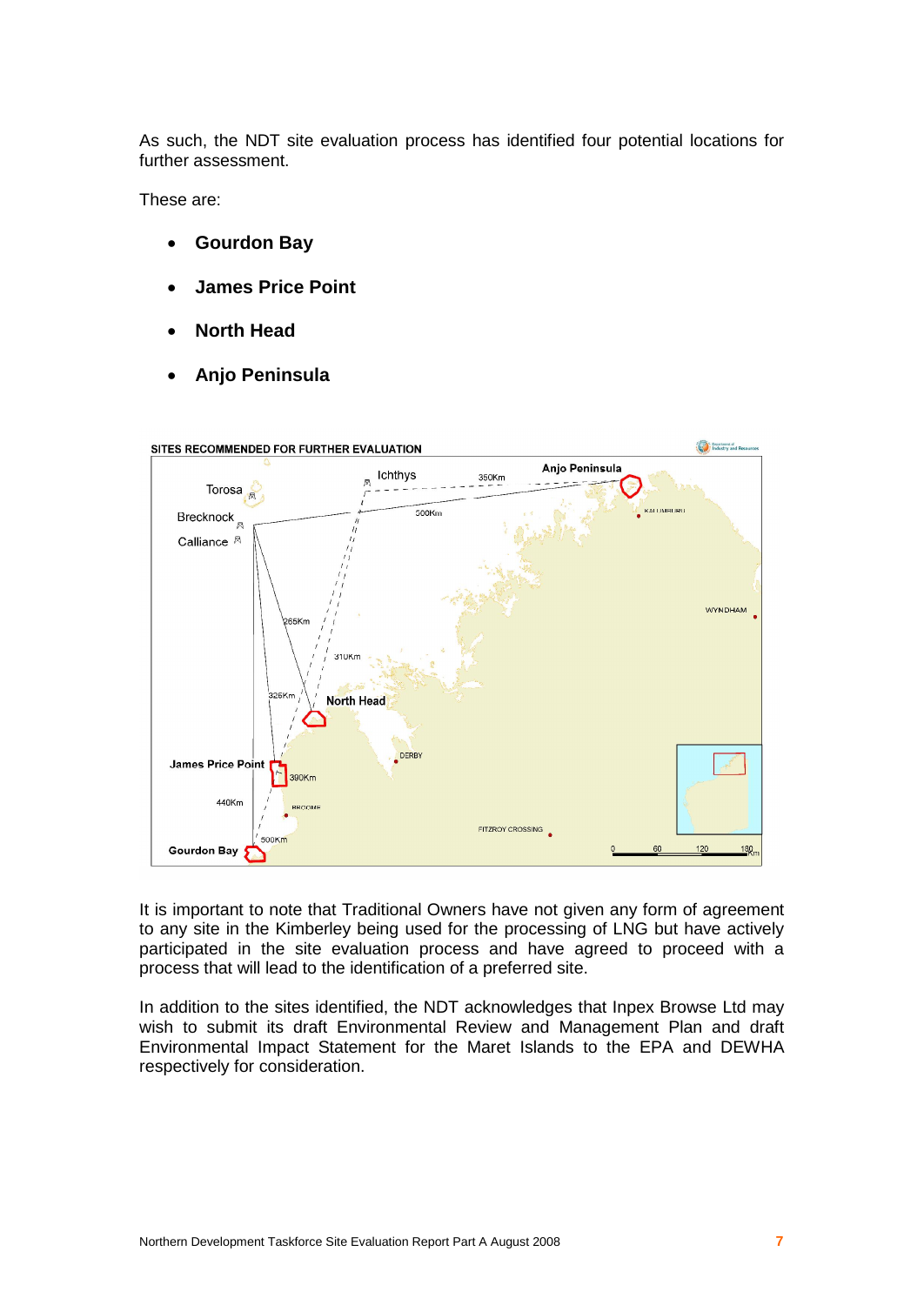As such, the NDT site evaluation process has identified four potential locations for further assessment.

These are:

- **Gourdon Bay**
- **James Price Point**
- **North Head**
- **Anjo Peninsula**



It is important to note that Traditional Owners have not given any form of agreement to any site in the Kimberley being used for the processing of LNG but have actively participated in the site evaluation process and have agreed to proceed with a process that will lead to the identification of a preferred site.

In addition to the sites identified, the NDT acknowledges that Inpex Browse Ltd may wish to submit its draft Environmental Review and Management Plan and draft Environmental Impact Statement for the Maret Islands to the EPA and DEWHA respectively for consideration.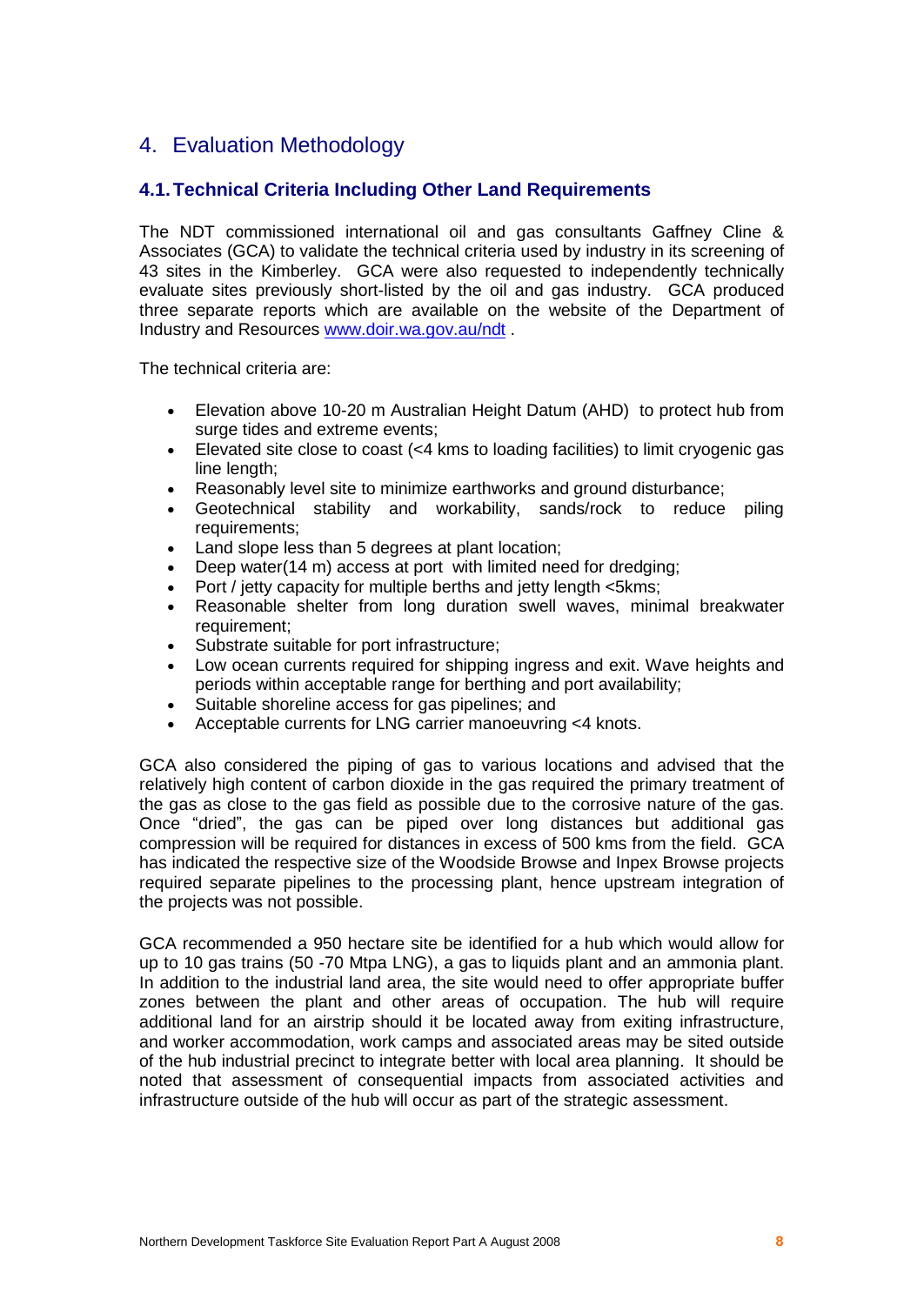# 4. Evaluation Methodology

# **4.1.Technical Criteria Including Other Land Requirements**

The NDT commissioned international oil and gas consultants Gaffney Cline & Associates (GCA) to validate the technical criteria used by industry in its screening of 43 sites in the Kimberley. GCA were also requested to independently technically evaluate sites previously short-listed by the oil and gas industry. GCA produced three separate reports which are available on the website of the Department of Industry and Resources [www.doir.wa.gov.au/ndt](http://www.doir.wa.gov.au/ndt) .

The technical criteria are:

- Elevation above 10-20 m Australian Height Datum (AHD) to protect hub from surge tides and extreme events;
- Elevated site close to coast (<4 kms to loading facilities) to limit cryogenic gas line length:
- Reasonably level site to minimize earthworks and ground disturbance;
- Geotechnical stability and workability, sands/rock to reduce piling requirements;
- Land slope less than 5 degrees at plant location:
- Deep water(14 m) access at port with limited need for dredging;
- Port / jetty capacity for multiple berths and jetty length <5kms;
- Reasonable shelter from long duration swell waves, minimal breakwater requirement;
- Substrate suitable for port infrastructure;
- Low ocean currents required for shipping ingress and exit. Wave heights and periods within acceptable range for berthing and port availability;
- Suitable shoreline access for gas pipelines; and
- Acceptable currents for LNG carrier manoeuvring <4 knots.

GCA also considered the piping of gas to various locations and advised that the relatively high content of carbon dioxide in the gas required the primary treatment of the gas as close to the gas field as possible due to the corrosive nature of the gas. Once "dried", the gas can be piped over long distances but additional gas compression will be required for distances in excess of 500 kms from the field. GCA has indicated the respective size of the Woodside Browse and Inpex Browse projects required separate pipelines to the processing plant, hence upstream integration of the projects was not possible.

GCA recommended a 950 hectare site be identified for a hub which would allow for up to 10 gas trains (50 -70 Mtpa LNG), a gas to liquids plant and an ammonia plant. In addition to the industrial land area, the site would need to offer appropriate buffer zones between the plant and other areas of occupation. The hub will require additional land foran airstrip should it be located away from exiting infrastructure, and worker accommodation, work camps and associated areas may be sited outside of the hub industrial precinct to integrate better with local area planning. It should be noted that assessment of consequential impacts from associated activities and infrastructure outside of the hub will occur as part of the strategic assessment.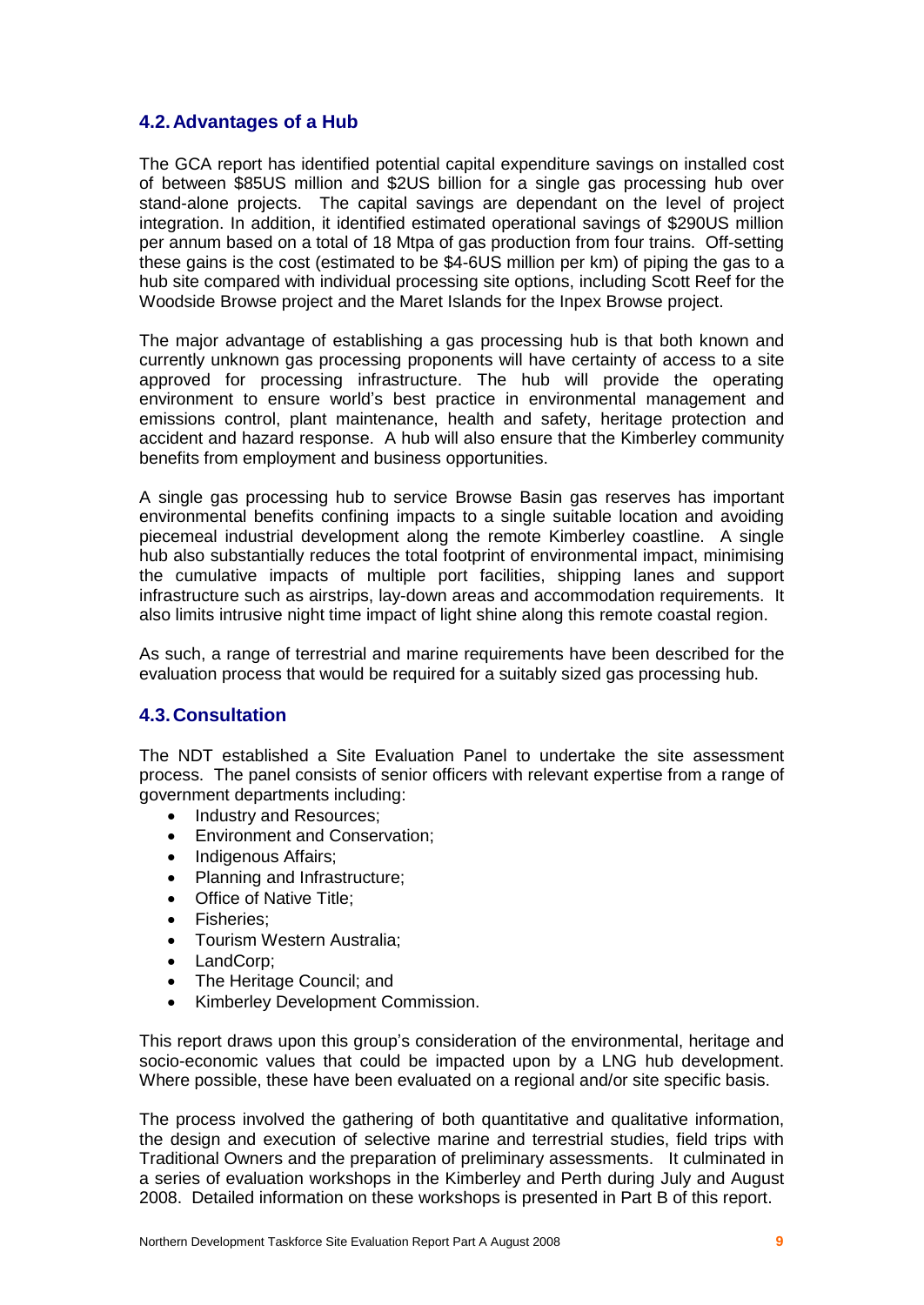# **4.2.Advantages of a Hub**

The GCA report has identified potential capital expenditure savings on installed cost of between \$85US million and \$2US billion for a single gas processing hub over stand-alone projects. The capital savings are dependant on the level of project integration. In addition, it identified estimated operational savings of \$290US million per annum based on a total of 18 Mtpa of gas production from four trains. Off-setting these gains is the cost (estimated to be \$4-6US million per km) of piping the gas to a hub site compared with individual processing site options, including Scott Reef for the Woodside Browse project and the Maret Islands for the Inpex Browse project.

The major advantage of establishing a gas processing hub is that both known and currently unknown gas processing proponents will have certainty of access to a site approved for processing infrastructure. The hub will provide the operating environment to ensure worldís best practice in environmental management and emissions control, plant maintenance, health and safety, heritage protection and accident and hazard response. A hub will also ensure that the Kimberley community benefits from employment and business opportunities.

A single gas processing hub to service Browse Basin gas reserves has important environmental benefits confining impacts to a single suitable location and avoiding piecemeal industrial development along the remote Kimberley coastline. A single hub also substantially reduces the total footprint of environmental impact, minimising the cumulative impacts of multiple port facilities, shipping lanes and support infrastructure such as airstrips, lay-down areas and accommodation requirements. It also limits intrusive night time impact of light shine along this remote coastal region.

As such, a range of terrestrial and marine requirements have been described for the evaluation process that would be required for a suitably sized gas processing hub.

# **4.3.Consultation**

The NDT established a Site Evaluation Panel to undertake the site assessment process. The panel consists of senior officers with relevant expertise from a range of government departments including:

- Industry and Resources;
- Environment and Conservation:
- Indigenous Affairs;
- Planning and Infrastructure;
- Office of Native Title;
- Fisheries;
- Tourism Western Australia;
- LandCorp;
- The Heritage Council; and
- Kimberley Development Commission.

This report draws upon this group's consideration of the environmental, heritage and socio-economic values that could be impacted upon by a LNG hub development. Where possible, these have been evaluated on a regional and/or site specific basis.

The process involved the gathering of both quantitative and qualitative information, the design and execution of selective marine and terrestrial studies, field trips with Traditional Owners and the preparation of preliminary assessments. It culminated in a series of evaluation workshops in the Kimberley and Perth during July and August 2008. Detailed information on these workshops is presented in Part B of this report.